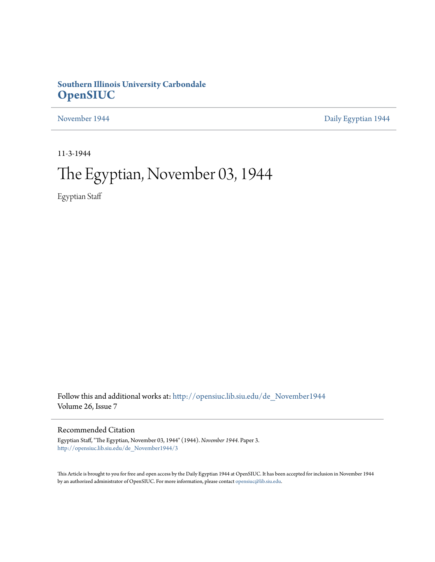## **Southern Illinois University Carbondale [OpenSIUC](http://opensiuc.lib.siu.edu?utm_source=opensiuc.lib.siu.edu%2Fde_November1944%2F3&utm_medium=PDF&utm_campaign=PDFCoverPages)**

[November 1944](http://opensiuc.lib.siu.edu/de_November1944?utm_source=opensiuc.lib.siu.edu%2Fde_November1944%2F3&utm_medium=PDF&utm_campaign=PDFCoverPages) **[Daily Egyptian 1944](http://opensiuc.lib.siu.edu/de_1944?utm_source=opensiuc.lib.siu.edu%2Fde_November1944%2F3&utm_medium=PDF&utm_campaign=PDFCoverPages)** 

11-3-1944

# The Egyptian, November 03, 1944

Egyptian Staff

Follow this and additional works at: [http://opensiuc.lib.siu.edu/de\\_November1944](http://opensiuc.lib.siu.edu/de_November1944?utm_source=opensiuc.lib.siu.edu%2Fde_November1944%2F3&utm_medium=PDF&utm_campaign=PDFCoverPages) Volume 26, Issue 7

### Recommended Citation

Egyptian Staff, "The Egyptian, November 03, 1944" (1944). *November 1944.* Paper 3. [http://opensiuc.lib.siu.edu/de\\_November1944/3](http://opensiuc.lib.siu.edu/de_November1944/3?utm_source=opensiuc.lib.siu.edu%2Fde_November1944%2F3&utm_medium=PDF&utm_campaign=PDFCoverPages)

This Article is brought to you for free and open access by the Daily Egyptian 1944 at OpenSIUC. It has been accepted for inclusion in November 1944 by an authorized administrator of OpenSIUC. For more information, please contact [opensiuc@lib.siu.edu.](mailto:opensiuc@lib.siu.edu)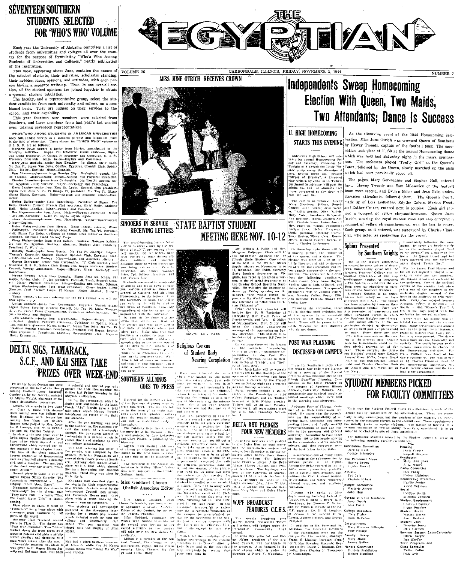## **SÉVENTEEN SOUTHERN STUDENTS SELECTED** FOR 'WHO'S WHO' VOLUME

Each year the University of Alabama comprises a list of students from universities and colleges all over the coun-<br>try for the purpose of formulating "Who's Who Among Students of Universities and Colleges," yearly publication of the institution.

This book, appearing about June, contains the names of the selected students, their activities, scholastic standing, their hobbies, ideas, opinions, and attitudes, with each person having a separate write-up. Then, in one over-all sec tion, all the student opinions are joined together to obtain

non, an the student topulous are joined together to botain<br>The faculty, and a representative group, select the student candidates from each university and college, on a nondent annuatures room exert university and conege, on a non-<br>biased basis. They are judged on their services to the<br>school, and their capability.<br>This year fourteen new members were selected from<br>Southern, and three members

over, totaling seventeen representatives.

WHO'S WHO AMONG STUDENTS IN AMERICAN UNIVERSITIES AND COLLEGES serves us a valuable purpose and important place<br>in the field of education. Those chosen for "WHO'S WHO" volume at

As the bottle decisions were there are the main to the state of the simulation of the Marine David Marine Bottle Marine (Fig. 1, N. 1, N. 2, N. 2, N. 2, N. 2, N. 2, N. 2, N. 2, N. 2, N. 2, N. 2, N. 2, N. 2, N. 2, N. 2, N.

rence.<br>
Figure Dallas-sember from Harrisburg. President of Sigma Tau<br>
(eth, Student Council, Prench Club Secretary, Ciris Rulpi, Anthony<br>
(Del. Major-Shajish, Minor-Prench and Connence.<br>
Des Hayres-sember from Anna. Major-

Det Styress-some result in Egen and Schwarz, Simon Signa Signa.<br>
1 are Sociology. Kappl PI, Sigma Signa Signa.<br>
Henne Jacobis-Sociology and More-Social Schwarz Simon Signa Company (SINOOERS IN SERVICE )<br>
Henne Malays-popu



## **STATE BAPTIST STUDENT MEETING HERE NOV. 10-12**

Mr. William J. Fallis and Mrs. 1988.<br>
Margaret Collepper Clark will be a finite policy operator for the diffusion of the diffusion state Supplement Control in the Walter of the Margaret characteristic policy of the Margar

Sunday School B will give the vine. He will give the seymore and<br>subject. "The World Christ Su-<br>subject. "The World", and on Satur-<br>reme in My World", and on Satur-<br>day afternoon on "Maximum Chris

William J. Fallis

DELTA SIG, TANARACK, TREZES OVER VEELE END SOUTHER ALLEY THE CONTRACT SIGN AND ALL SHER TAKE ON THE VEHICLE SCALE AND DELTA SIGN A SHER TAKE ON THE VEHICLE OF THE VEHICLE OF THE VEHICLE OF THE VEHICLE OF THE VEHICLE OF THE

## Independents Sweep Homecoming Election With Queen, Two Maids, Two Attendants; Dance Is Success

## **U. HIGH HOMECOMING**

**MEYAY** 

University High School will refer brate its annual Homecoming Friday and Saturday. November 34.<br>Tomight at 8 colores the Little Theory are strong that a color the direction of<br>How. Evelyn Ricke will present Shr. ater group under the direction of<br>Mrs. Evelyn Ricke will present Mrs. Evelyn Ricke will present play written by John Rund, Tie<br>Keray particular present particular at all the studient state of<br>matches of the state of the s

Fost 3de and 20.<br>
1 The cast is a follows: Cocily Ware, Monte and 20.<br>
The cast is a follows: Cocily Ware, Monte Couley of the pairs<br>  $\mathbf{r}$ , Papills Austin . Other bands of the Mark Republic<br>
Mary Yov: Arounds: Greenwi

 $\sum_{\substack{n=1\\ \text{Meyr. in the first line, G. Meyn, G. Meyn, G. Meyn, G. Meyn, G. Meyn, G. Meyn, G. Meyn, G. Meyn, G. Meyn, G. Meyn, G. Meyn, G. Meyn, G. Meyn, G. Meyn, G. Meyn, G. Meyn, G. Meyn, G. Meyn, G. Meyn, G. Meyn, G. Meyn, G. Meyn, G. Meyn, G. Meyn, G. Meyn, G. Meyn, G. Meyn, G. Meyn, G. Meyn, G. Meyn, G. Meyn, G. Meyn, G. Meyn,$ 

As the climaxing event of the 1944 Homecoming celebration, Miss June Otrich was crowned Queen of Southern STARTS THIS EVENING by Hewey Tweedy, captain of the football team. The coro-

NUMBER 7

nation took place at 11:30 at the annual Homecoming dance which was held last Saturday night in the men's gymnasjum. The orchestra played "Pretty Girl" as the Queen's Court, followed by the Queen, slowly marched up the aisle

which had been previously roped off. The pages, Mary Gersbacher and Stephen Hall, entered first. Hewey Tweedy and Sam Milosevich of the football team were second, and Evelyn Miller and Jean Gale, under-

classmen attendants, followed them. The Queen's Court, made up of Lois Ledbetter, Edythe Gahan, Marian Frost, and Esther Craver, entered next in couples. Each girl carried a bouquet of yellow chrysanthenums. Queen June Otrich, wearing the royal marcon robe and also enrrying a bouquet of yellow chrysanthemums, was the last to enter Each group, as it entered, was announced by Charles Chan

FOR FACULTY COMMITTEES

sarious faculty committees of the administration. These are essent

montressi<br>
House Craige Constant<br>
Lines Craige Constant<br>
Craige Constanting<br>
Lines Constant<br>
Lines Constant<br>
Lines Constant<br>
Constant Constant<br>
Craige Constant<br>
Craige Constant<br>
Craige Constant<br>
Craige Constant<br>
Craige Con Social Carolyn Smith Carolyn Smith<br>
Matulia Johnson<br>
Student Employment<br>
Charles Chandler<br>
Degry Boucher<br>
Student Hearts<br>
Maxine Herry<br>
Jon Burkett Student Loan Student<br>There is larmen<br>The Harmen<br>Sommer Sesson Extra-Curcicular<br>Cloria Barger<br>The Sheffer<br>The Special and<br>The Programs and

'erm Program<br>Iasa Schedule<br>- Fuliac Dalla: Dick Avis

FOR FACULTY COMM

Each year the Student Council chees two members to each of if

atom at 5.30 Friday. And the morning and afternoon.<br>
The interval is the morning of the signal and the morning and the studies of the studies of the anti-<br>
The studies of the studies of the studies of the studies of the s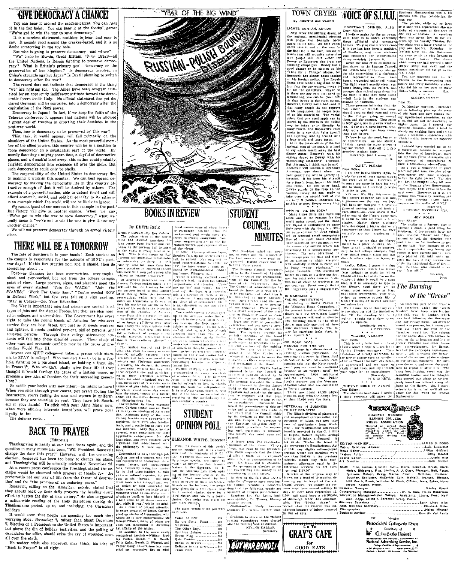

extermining with a recent press conference the  $r$ -resument of destructions of the same of the same of the same of the same of the same of the same of the same of the same of the same of the same of the same of the same o



**GRAY'S CAFE** 

 $\frac{for}{GOOD}$ 

campus committees were elected<br>
campus committees were elected<br>
campus committees were elected<br>
EULINE DALLAS,<br>
Secretary.

**BUY WAR BONDS!** 

 $\begin{array}{|l|} \hline \textbf{0} & \textbf{0} & \textbf{0} & \textbf{0} & \textbf{0} & \textbf{0} & \textbf{0} & \textbf{0} & \textbf{0} & \textbf{0} & \textbf{0} & \textbf{0} & \textbf{0} & \textbf{0} & \textbf{0} & \textbf{0} & \textbf{0} & \textbf{0} & \textbf{0} & \textbf{0} & \textbf{0} & \textbf{0} & \textbf{0} & \textbf{0} & \textbf{0} & \textbf{0} & \textbf{0} & \textbf{0} & \textbf{0} & \textbf{0$ 



| laff: Rice, Jordan, Hewlett, Kittle, Dovis, Benedict, Brush, Clark. |
|---------------------------------------------------------------------|
| Heien, Ridgeway, Hise, Stotlar, A. J. Clark, Pleasant, Neff, Eaton. |
| ews Editor<br>Valure Editor<br>Valure Editor                        |

**Pissociated Collegiate Press** Duributor of Duributor of Collegional Direct Mational Advertising Service, Inc. 

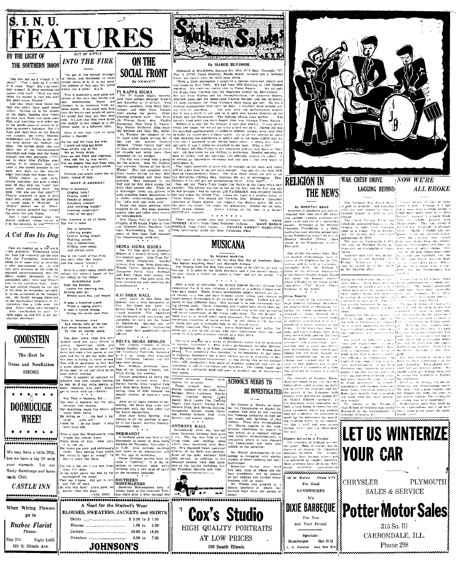



"Did you say an 8 o'clock P. E.<br>ass?" "Yes, I said an 8 o'clock<br>E. class. Miky? Did 1 de souw.<br>In wrong? Is there anything the<br>atter with 'em?" "Well, the only

THE SOUTHERN MOON INTO THE FIRE THE TIRE IS COULD THE TIRE IS COULD THE SUITE OF THE SUITE OF THE SUITE OF THE SUITE OF THE SUITE OF THE SUITE OF THE SUITE OF THE SUITE OF THE SUITE OF THE SUITE OF THE SUITE OF THE SUITE care and fight loop entities the South Care is not that tries to carry<br>and manipulation of the South Care is not the South Celebrator, and Pricial South Care is the state of the Care in the Care is the Care in the Care in ight w<br>While

field. Did you see that mass????<br>They're supposed to pass it with their feet, stupid, and the passile<br> $\mathbf{r}$  is garely legating. In the passile is parely legating. This<br>partie of the passile of the passive of the partie

|<br>| Yes, America is all of the

## A Cat Has Its Day

Cats are conting up in the verific Willing, ever ready,<br>
Willing, it was a thin the continuous of the control of the state of the Minited Willing, were ready,<br>  $Mx$  from Cat evidently you the three Rest states are worst,<br> ourse our over may symbols of the executive desk, After I<br>as the security desk, After I<br>desk he responded sphendide.<br>he aftertions of the employ-<br>He finally became disynated<br>mechanical structure of the e thermines of the over bis<br>Since things were becoming<br>Since things were becoming<br>the complicated he cave the<br>signal pand left to get sat-<br>ion elsewhere **Wist** 

**GOODSTEIN** The SBest In Dress and NonRation **SHOES DOOMUCUGIE WHEE!** We may have a little INN but we have a big IN with your stomach. Try our Tasty Hamburgs and home made Chili. **CASTLE INN** \*\*\*\*\*\*\*\*\*\*\*\*\*\*\*\*\*\*\*\*\*\*\* When Wiring Flowers go to **Buzbee Florist** 

She is factorie: Sue is tattories.<br>Laboring people,<br>Liberty loving people.<br>Fighting people.<br>She is industrious.

she is the Land of the Free

First has short poen which symbolizes the writer's loop which symbols<br>the property loop of the EUROPEAN SUM<br>over the borlzon, and the component of the borlzon<br>was the borlzon, and the borlzon of the borlzon work has just b

Let  $\mu$  telling us  $\sim$ ... (its tool)<br>
In the time  $\sim$ <br>
I could be  $\mu$  i do not know. I only lat et the  $\sim$ <br>
I could be  $\mu$  i do not know. I only lat et the  $\sim$ <br>
I could be  $\mu$  i do not know. I only lat et the  $\sim$ 

............................

A Need for the Student's Wear

BLOUSES, SWEATERS, JACKETS and SKIRTS

Skirts ............................. \$ 2.98 to \$ 7.95

Blouses - - - - - - - - - - - - - - - - - 1.98 to 5.95°

**JOHNSON'S** 





By MARIE BLEDSOE

**MUSICANA** 

approximately the Lample Theorem and Theorem and Theorem and Theorem and Theorem and The Control of the Lample Theorem and The property of the Control of the Control of the Control of the Control of the Control of the Cont

SIGMA SIGMA SIGMA MUSICANA THE GAS AND THE THE SET AND ASSEMBLANCE THE SET ASSEMBLANCE THE SET AND MUSICAL THE CONDITIONAL MATEIN (SET AT A SET AND THE CONDITIONAL DESCRIPTION OF A SET AND SIGN OF A SET AND SIGN OF A SET

Songs buzh SCHOOL'S NEEDS TO

Mr. George A. Works, an agent (Fig. 1971). The Contraction of the PSM and the result of the results of the results of the results of the results of the results of the Mr. With the results of the Mr. With the property of t

Mr. Works' investigation of our<br>ollege is compared with similar college is compared with similar<br>studies of other colleges and stat-

Cox's Studio

HIGH QUALITY PORTRAITS

AT LOW PRICES

300 South Illinois

is ruelles of other colleges and stat-<br>
institutions.<br>
Sometime during next week-<br>
from men, most of whom are col-<br>
lege presidents, will be present<br>
includes all the research of our campus and further examinations<br>
will b

 $\epsilon$  <br>for secondary State Bap. Dutient any still term in the secondary state Bap. In<br>the conventions held  $\psi$  . Studient since<br> $\psi$  is a state of the Southern finite in the Southern finite in<br> $\mathcal{E}$  . As we will be bel the editorial department in the editorial department in

**RELIGION IN** 

By DOROTHY BEAR

Students at Southern are still ex-<br>laiming that they were not aware

claiming that they were not usear<br>that the control of the control of the control of the control<br>pent to all and are of a continuing nature. Newman, it is finded<br>that the control of the state of the control of the control

House at the Foundation is every

 $\sim$   $\sim$   $\sim$ 

**THE NEWS** 

n<br>|still\_ex

viduals

Ŧь

asked the organized

campus to make<br>tions as a group,<br>day, the faculty

Student Activities in Finland

are attended by smaller number<br>Nost students have given up the **Republic Constructions** *<u><u>Innumerony</u>***</u>** 100 W. Walnut Phone 51







ps baye <sub>tions</sub> and<br>remtated

**EXECUTION TO**<br> **EXECUTE TO THE CONFIDENTIAL CONFIDENTIAL CONFIDENTIAL CONFIDENTIAL CONFIDENTIAL CONFIDENTIAL CONFIDENTIAL CONFIDENTIAL CONFIDENTIAL CONFIDENTIAL CONFIDENTIAL CONFIDENTIAL CONFIDENTIAL CONFIDENTIAL CONFIDE** 

For Good

**SANDWICHES** 

 $\mathbf{It's}$ 

**DIXIE BARBEQUE** 

For You

and Your Friend

Specials:

Hamburger Bar-B-Q

L, A. Karcher And Son Bill

Someon Sciences in Finland are<br>der arms. This, of course, has<br>fluenced all statent life. Christ<br>sundents in luded. The christ<br>sundents in luded. The rest<br>meetings have become scare-**YOUR CAR** 

**LET US WINTERIZE** 

**CHRYSLER** 

whethy on their studies ducker that  $\frac{1}{2}$  is two good to where heaves. Even those who take it is conditionally an analyze the state of the state of the state of the condition between the state of the state of the stat many 200 LG

The National War Chest Dr.  $x_c$  I have plenty of sime to think is still in progress, and contribute is<br>both it now. Perhaps for the contribution of the context of the<br>context of the context context of the context of the c

their counting the fall<br>The Wolfpes (step) and contributed because

Form, was w<br>Homecotifie

**NOW WE'RE** 

**ALL BROKE** 

Te made more ...<br>Anyway, I, a lawly fresh

 $\begin{tabular}{ll} & secret\\ \hline -aert & student \\ \hline -b = a \, \mathrm{other} \, \mathrm{off}, \, a \, \mathrm{on} \, \mathrm{loop} \, \mathrm{1} \, \mathrm{and} \, \mathrm{loop} \, \mathrm{loop} \, \mathrm{loop} \, \mathrm{loop} \, \mathrm{loop} \, \mathrm{loop} \, \mathrm{loop} \, \mathrm{loop} \, \mathrm{loop} \, \mathrm{loop} \, \mathrm{loop} \, \mathrm{loop} \, \mathrm{loop} \, \mathrm{loop} \, \mathrm{loop} \, \mathrm{loop} \, \mathrm{loop} \, \mathrm{loop} \, \mathrm{loop} \, \mathrm{loop} \, \mathrm{loop} \$ 

rom<sup>er</sup><br>⊣On behalf of diffyrent assock

**WAR CHEST DRIVE** 

LAGGING BEHIND

.<br>Coerd Victory Corps has

case the faculty had contribute pro-<br>happroximately \$760 or the state of the proof in Cardiomiale is \$11,-11:ne was<br>defined and on Cardiomiale is \$11,-11:ne was<br>depended on Cardiomiale's contribute was depended on Cardiomi

 $\begin{tabular}{l} \hline \text{50ths} & \text{and} & \text{of,eff,}\xspace \\ \hline \text{number of} & \text{so} & \text{in} \\ \text{dust} & \text{or} & \text{in} \\ \text{one} & \text{in} \\ \text{one} & \text{in} \\ \text{one} & \text{in} \\ \text{one} & \text{out} \\ \text{out} & \text{in} \\ \text{out} & \text{in} \\ \end{tabular}$ 

**SALES & SERVICE** 

Potter Motor Sales

315 So. Ill<sup>.</sup>

CARBONDALE, ILL.

Phone 298

expeciations, and I

PLYMOUTH